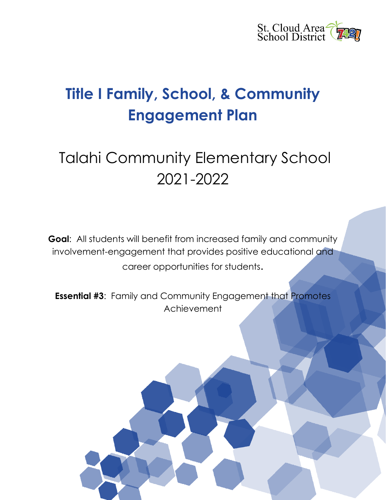

# **Title I Family, School, & Community Engagement Plan**

# Talahi Community Elementary School 2021-2022

**Goal:** All students will benefit from increased family and community involvement-engagement that provides positive educational and career opportunities for students.

**Essential #3**: Family and Community Engagement that Promotes Achievement

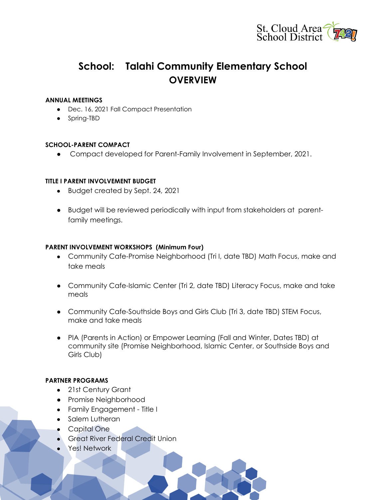

# **School: Talahi Community Elementary School OVERVIEW**

#### **ANNUAL MEETINGS**

- Dec. 16, 2021 Fall Compact Presentation
- Spring-TBD

### **SCHOOL-PARENT COMPACT**

• Compact developed for Parent-Family Involvement in September, 2021.

#### **TITLE I PARENT INVOLVEMENT BUDGET**

- Budget created by Sept. 24, 2021
- Budget will be reviewed periodically with input from stakeholders at parentfamily meetings.

#### **PARENT INVOLVEMENT WORKSHOPS (Minimum Four)**

- Community Cafe-Promise Neighborhood (Tri I, date TBD) Math Focus, make and take meals
- Community Cafe-Islamic Center (Tri 2, date TBD) Literacy Focus, make and take meals
- Community Cafe-Southside Boys and Girls Club (Tri 3, date TBD) STEM Focus, make and take meals
- PIA (Parents in Action) or Empower Learning (Fall and Winter, Dates TBD) at community site (Promise Neighborhood, Islamic Center, or Southside Boys and Girls Club)

#### **PARTNER PROGRAMS**

- 21st Century Grant
- Promise Neighborhood
- Family Engagement Title I
- Salem Lutheran
- Capital One
- Great River Federal Credit Union
- Yes! Network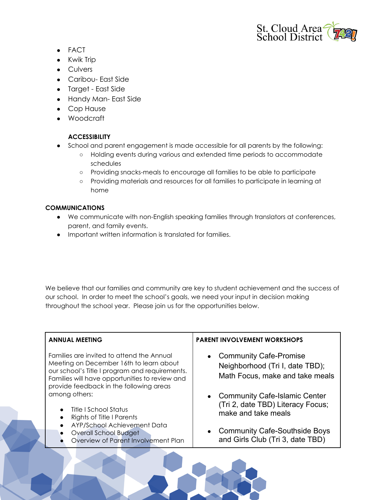

- FACT
- Kwik Trip
- Culvers
- Caribou- East Side
- Target East Side
- Handy Man- East Side
- Cop Hause
- Woodcraft

## **ACCESSIBILITY**

- School and parent engagement is made accessible for all parents by the following:
	- Holding events during various and extended time periods to accommodate schedules
	- Providing snacks-meals to encourage all families to be able to participate
	- Providing materials and resources for all families to participate in learning at home

## **COMMUNICATIONS**

- We communicate with non-English speaking families through translators at conferences, parent, and family events.
- Important written information is translated for families.

We believe that our families and community are key to student achievement and the success of our school. In order to meet the school's goals, we need your input in decision making throughout the school year. Please join us for the opportunities below.

| <b>ANNUAL MEETING</b>                                                                                                                                                                                                               | <b>PARENT INVOLVEMENT WORKSHOPS</b>                                                                 |
|-------------------------------------------------------------------------------------------------------------------------------------------------------------------------------------------------------------------------------------|-----------------------------------------------------------------------------------------------------|
| Families are invited to attend the Annual<br>Meeting on December 16th to learn about<br>our school's Title I program and requirements.<br>Families will have opportunities to review and<br>provide feedback in the following areas | <b>Community Cafe-Promise</b><br>Neighborhood (Tri I, date TBD);<br>Math Focus, make and take meals |
| among others:<br>Title I School Status<br>Rights of Title I Parents                                                                                                                                                                 | <b>Community Cafe-Islamic Center</b><br>(Tri 2, date TBD) Literacy Focus;<br>make and take meals    |
| AYP/School Achievement Data<br>Overall School Budget<br>Overview of Parent Involvement Plan                                                                                                                                         | <b>Community Cafe-Southside Boys</b><br>and Girls Club (Tri 3, date TBD)                            |
|                                                                                                                                                                                                                                     |                                                                                                     |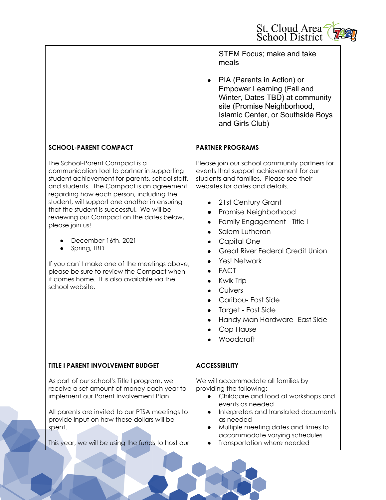

|                                                                                                                                                                                                                                                                                                                                                                                                                                                                                                                                                                                                                                           | <b>STEM Focus; make and take</b><br>meals<br>PIA (Parents in Action) or<br><b>Empower Learning (Fall and</b><br>Winter, Dates TBD) at community<br>site (Promise Neighborhood,<br>Islamic Center, or Southside Boys<br>and Girls Club)                                                                                                                                                                                                                                                                                                                                                                                                               |
|-------------------------------------------------------------------------------------------------------------------------------------------------------------------------------------------------------------------------------------------------------------------------------------------------------------------------------------------------------------------------------------------------------------------------------------------------------------------------------------------------------------------------------------------------------------------------------------------------------------------------------------------|------------------------------------------------------------------------------------------------------------------------------------------------------------------------------------------------------------------------------------------------------------------------------------------------------------------------------------------------------------------------------------------------------------------------------------------------------------------------------------------------------------------------------------------------------------------------------------------------------------------------------------------------------|
| <b>SCHOOL-PARENT COMPACT</b><br>The School-Parent Compact is a<br>communication tool to partner in supporting<br>student achievement for parents, school staff,<br>and students. The Compact is an agreement<br>regarding how each person, including the<br>student, will support one another in ensuring<br>that the student is successful. We will be<br>reviewing our Compact on the dates below,<br>please join us!<br>December 16th, 2021<br>Spring, TBD<br>$\bullet$<br>If you can't make one of the meetings above,<br>please be sure to review the Compact when<br>it comes home. It is also available via the<br>school website. | <b>PARTNER PROGRAMS</b><br>Please join our school community partners for<br>events that support achievement for our<br>students and families. Please see their<br>websites for dates and details.<br>21st Century Grant<br>Promise Neighborhood<br>$\bullet$<br>Family Engagement - Title I<br>$\bullet$<br>Salem Lutheran<br>$\bullet$<br>Capital One<br>$\bullet$<br><b>Great River Federal Credit Union</b><br>$\bullet$<br>Yes! Network<br><b>FACT</b><br>$\bullet$<br><b>Kwik Trip</b><br>$\bullet$<br>Culvers<br>$\bullet$<br>Caribou- East Side<br>$\bullet$<br>Target - East Side<br>Handy Man Hardware- East Side<br>Cop Hause<br>Woodcraft |
| <b>TITLE I PARENT INVOLVEMENT BUDGET</b>                                                                                                                                                                                                                                                                                                                                                                                                                                                                                                                                                                                                  | <b>ACCESSIBILITY</b>                                                                                                                                                                                                                                                                                                                                                                                                                                                                                                                                                                                                                                 |
| As part of our school's Title I program, we<br>receive a set amount of money each year to<br>implement our Parent Involvement Plan.<br>All parents are invited to our PTSA meetings to<br>provide input on how these dollars will be<br>spent.<br>This year, we will be using the funds to host our                                                                                                                                                                                                                                                                                                                                       | We will accommodate all families by<br>providing the following:<br>Childcare and food at workshops and<br>$\bullet$<br>events as needed<br>Interpreters and translated documents<br>$\bullet$<br>as needed<br>Multiple meeting dates and times to<br>$\bullet$<br>accommodate varying schedules<br>Transportation where needed                                                                                                                                                                                                                                                                                                                       |